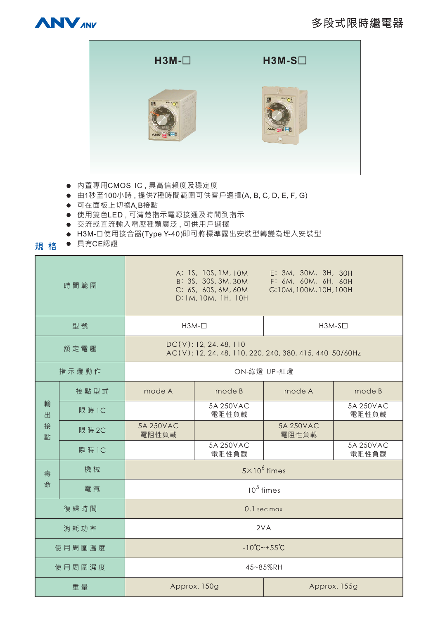



- 内置專用CMOS IC,具高信賴度及穩定度
- 由1秒至100小時,提供7種時間範圍可供客戶選擇(A, B, C, D, E, F, G)
- 可在面板上切換A,B接點
- 使用雙色LED,可清楚指示電源接通及時間到指示
- 交流或直流輸入電壓種類廣泛,可供用戶選擇
- H3M-口使用接合器(Type Y-40)即可將標準露出安裝型轉變為埋入安裝型
- **規格** ● 具有CE認證

| 時間範圍             |        | E: 3M, 30M, 3H, 30H<br>A: 1S, 10S, 1M, 10M<br>B: 3S, 30S, 3M, 30M<br>F: 6M, 60M, 6H, 60H<br>C: 6S, 60S, 6M, 60M<br>G:10M, 100M, 10H, 100H<br>D: 1M, 10M, 1H, 10H |                    |                    |                    |
|------------------|--------|------------------------------------------------------------------------------------------------------------------------------------------------------------------|--------------------|--------------------|--------------------|
| 型號               |        | $H3M-\Box$                                                                                                                                                       |                    | $H3M-S1$           |                    |
| 額定電壓             |        | DC(V): 12, 24, 48, 110<br>AC(V): 12, 24, 48, 110, 220, 240, 380, 415, 440 50/60Hz                                                                                |                    |                    |                    |
| 指示燈動作            |        | ON-綠燈 UP-紅燈                                                                                                                                                      |                    |                    |                    |
| 輸<br>出<br>接<br>點 | 接點型式   | mode A                                                                                                                                                           | mode B             | mode A             | mode B             |
|                  | 限 時 1C |                                                                                                                                                                  | 5A 250VAC<br>電阻性負載 |                    | 5A 250VAC<br>電阻性負載 |
|                  | 限 時 2C | 5A 250VAC<br>電阻性負載                                                                                                                                               |                    | 5A 250VAC<br>電阻性負載 |                    |
|                  | 瞬 時 1C |                                                                                                                                                                  | 5A 250VAC<br>電阻性負載 |                    | 5A 250VAC<br>電阻性負載 |
| 壽<br>命           | 機械     | $5 \times 10^6$ times                                                                                                                                            |                    |                    |                    |
|                  | 電氣     | $10^5$ times                                                                                                                                                     |                    |                    |                    |
| 復歸時間             |        | 0.1 sec max                                                                                                                                                      |                    |                    |                    |
| 消耗功率             |        | 2VA                                                                                                                                                              |                    |                    |                    |
| 使用周圍溫度           |        | $-10^{\circ}C - +55^{\circ}C$                                                                                                                                    |                    |                    |                    |
| 使用周圍濕度           |        | 45~85%RH                                                                                                                                                         |                    |                    |                    |
| 重量               |        | Approx. 150g                                                                                                                                                     |                    | Approx. 155g       |                    |